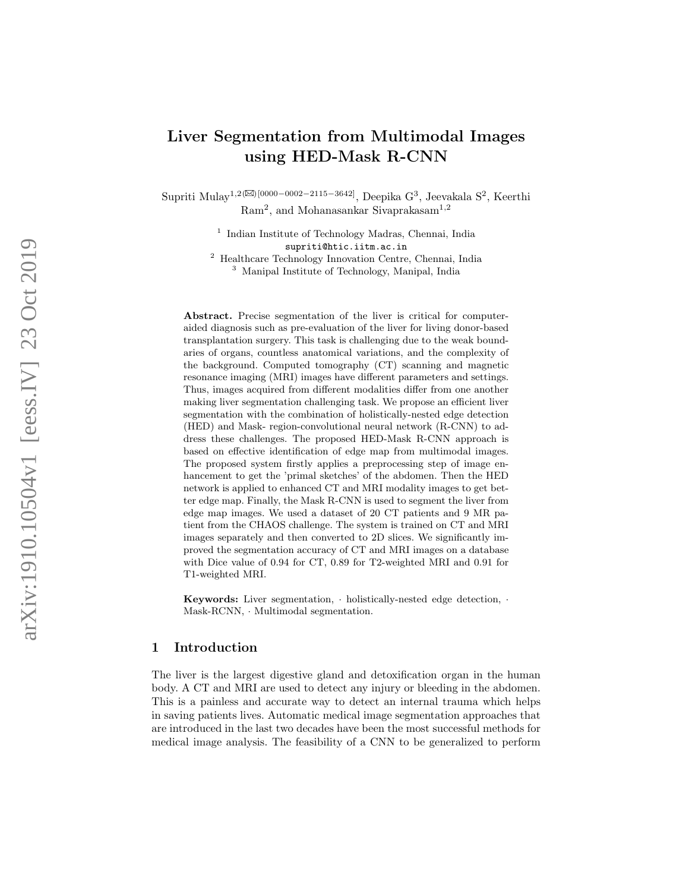# Liver Segmentation from Multimodal Images using HED-Mask R-CNN

Supriti Mulay<sup>1,2( $\boxtimes$ )</sub>[0000–0002–2115–3642]<sub>,</sub> Deepika G<sup>3</sup>, Jeevakala S<sup>2</sup>, Keerthi</sup> Ram<sup>2</sup>, and Mohanasankar Sivaprakasam<sup>1,2</sup>

> <sup>1</sup> Indian Institute of Technology Madras, Chennai, India supriti@htic.iitm.ac.in

<sup>2</sup> Healthcare Technology Innovation Centre, Chennai, India <sup>3</sup> Manipal Institute of Technology, Manipal, India

Abstract. Precise segmentation of the liver is critical for computeraided diagnosis such as pre-evaluation of the liver for living donor-based transplantation surgery. This task is challenging due to the weak boundaries of organs, countless anatomical variations, and the complexity of the background. Computed tomography (CT) scanning and magnetic resonance imaging (MRI) images have different parameters and settings. Thus, images acquired from different modalities differ from one another making liver segmentation challenging task. We propose an efficient liver segmentation with the combination of holistically-nested edge detection (HED) and Mask- region-convolutional neural network (R-CNN) to address these challenges. The proposed HED-Mask R-CNN approach is based on effective identification of edge map from multimodal images. The proposed system firstly applies a preprocessing step of image enhancement to get the 'primal sketches' of the abdomen. Then the HED network is applied to enhanced CT and MRI modality images to get better edge map. Finally, the Mask R-CNN is used to segment the liver from edge map images. We used a dataset of 20 CT patients and 9 MR patient from the CHAOS challenge. The system is trained on CT and MRI images separately and then converted to 2D slices. We significantly improved the segmentation accuracy of CT and MRI images on a database with Dice value of 0.94 for CT, 0.89 for T2-weighted MRI and 0.91 for T1-weighted MRI.

Keywords: Liver segmentation, · holistically-nested edge detection, · Mask-RCNN, · Multimodal segmentation.

## 1 Introduction

The liver is the largest digestive gland and detoxification organ in the human body. A CT and MRI are used to detect any injury or bleeding in the abdomen. This is a painless and accurate way to detect an internal trauma which helps in saving patients lives. Automatic medical image segmentation approaches that are introduced in the last two decades have been the most successful methods for medical image analysis. The feasibility of a CNN to be generalized to perform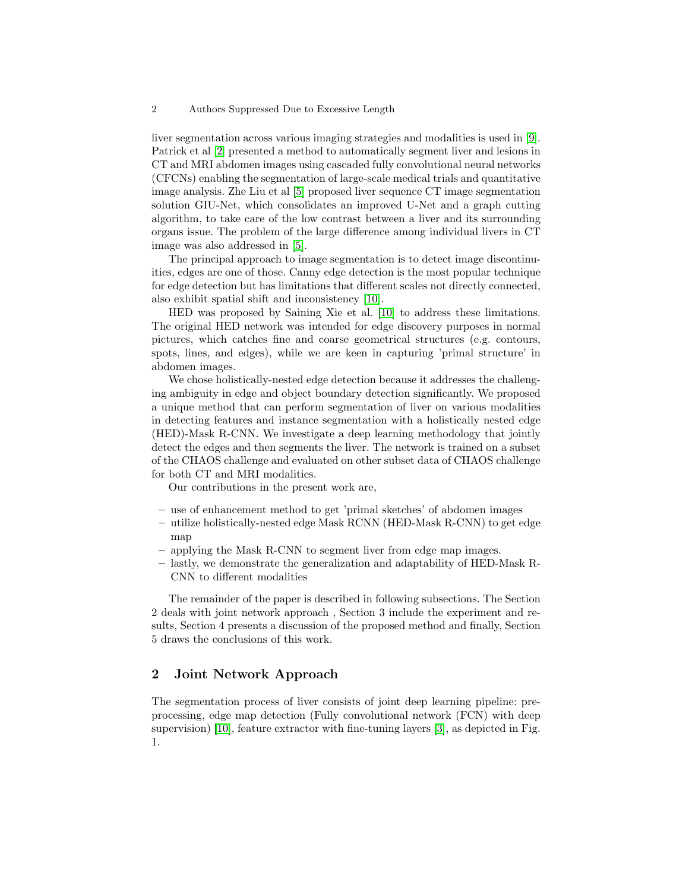#### 2 Authors Suppressed Due to Excessive Length

liver segmentation across various imaging strategies and modalities is used in [\[9\]](#page-7-0). Patrick et al [\[2\]](#page-7-1) presented a method to automatically segment liver and lesions in CT and MRI abdomen images using cascaded fully convolutional neural networks (CFCNs) enabling the segmentation of large-scale medical trials and quantitative image analysis. Zhe Liu et al [\[5\]](#page-7-2) proposed liver sequence CT image segmentation solution GIU-Net, which consolidates an improved U-Net and a graph cutting algorithm, to take care of the low contrast between a liver and its surrounding organs issue. The problem of the large difference among individual livers in CT image was also addressed in [\[5\]](#page-7-2).

The principal approach to image segmentation is to detect image discontinuities, edges are one of those. Canny edge detection is the most popular technique for edge detection but has limitations that different scales not directly connected, also exhibit spatial shift and inconsistency [\[10\]](#page-7-3).

HED was proposed by Saining Xie et al. [\[10\]](#page-7-3) to address these limitations. The original HED network was intended for edge discovery purposes in normal pictures, which catches fine and coarse geometrical structures (e.g. contours, spots, lines, and edges), while we are keen in capturing 'primal structure' in abdomen images.

We chose holistically-nested edge detection because it addresses the challenging ambiguity in edge and object boundary detection significantly. We proposed a unique method that can perform segmentation of liver on various modalities in detecting features and instance segmentation with a holistically nested edge (HED)-Mask R-CNN. We investigate a deep learning methodology that jointly detect the edges and then segments the liver. The network is trained on a subset of the CHAOS challenge and evaluated on other subset data of CHAOS challenge for both CT and MRI modalities.

Our contributions in the present work are,

- use of enhancement method to get 'primal sketches' of abdomen images
- utilize holistically-nested edge Mask RCNN (HED-Mask R-CNN) to get edge map
- applying the Mask R-CNN to segment liver from edge map images.
- lastly, we demonstrate the generalization and adaptability of HED-Mask R-CNN to different modalities

The remainder of the paper is described in following subsections. The Section 2 deals with joint network approach , Section 3 include the experiment and results, Section 4 presents a discussion of the proposed method and finally, Section 5 draws the conclusions of this work.

## 2 Joint Network Approach

The segmentation process of liver consists of joint deep learning pipeline: preprocessing, edge map detection (Fully convolutional network (FCN) with deep supervision) [\[10\]](#page-7-3), feature extractor with fine-tuning layers [\[3\]](#page-7-4), as depicted in Fig. 1.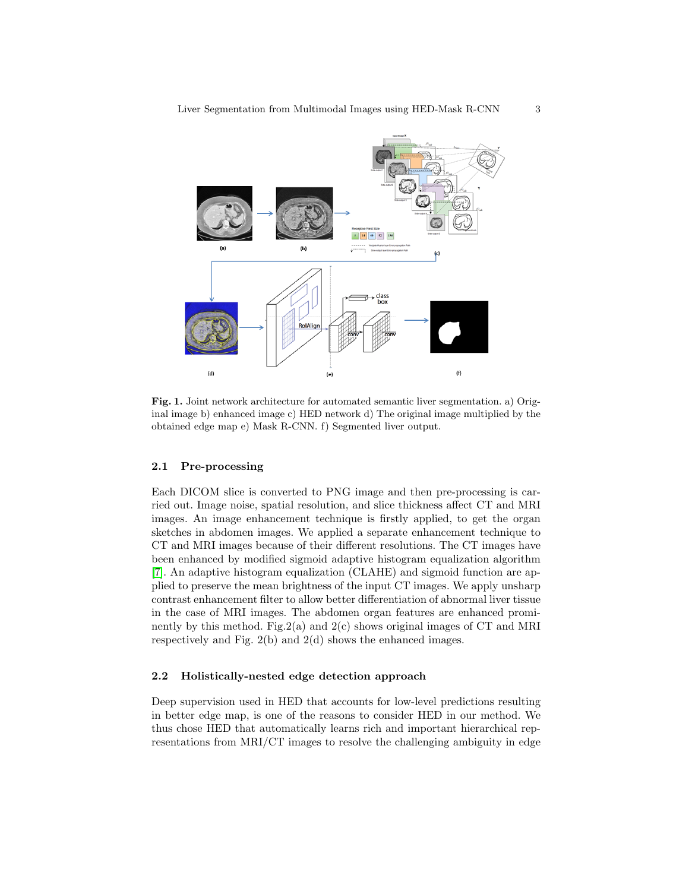

Fig. 1. Joint network architecture for automated semantic liver segmentation. a) Original image b) enhanced image c) HED network d) The original image multiplied by the obtained edge map e) Mask R-CNN. f) Segmented liver output.

#### 2.1 Pre-processing

Each DICOM slice is converted to PNG image and then pre-processing is carried out. Image noise, spatial resolution, and slice thickness affect CT and MRI images. An image enhancement technique is firstly applied, to get the organ sketches in abdomen images. We applied a separate enhancement technique to CT and MRI images because of their different resolutions. The CT images have been enhanced by modified sigmoid adaptive histogram equalization algorithm [\[7\]](#page-7-5). An adaptive histogram equalization (CLAHE) and sigmoid function are applied to preserve the mean brightness of the input CT images. We apply unsharp contrast enhancement filter to allow better differentiation of abnormal liver tissue in the case of MRI images. The abdomen organ features are enhanced prominently by this method. Fig.2(a) and  $2(c)$  shows original images of CT and MRI respectively and Fig. 2(b) and 2(d) shows the enhanced images.

#### 2.2 Holistically-nested edge detection approach

Deep supervision used in HED that accounts for low-level predictions resulting in better edge map, is one of the reasons to consider HED in our method. We thus chose HED that automatically learns rich and important hierarchical representations from MRI/CT images to resolve the challenging ambiguity in edge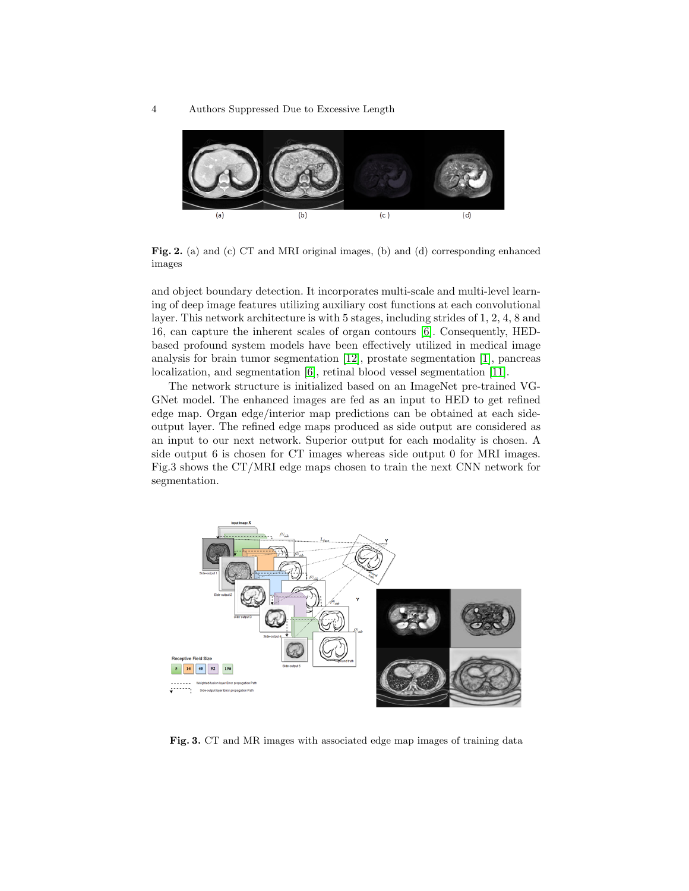4 Authors Suppressed Due to Excessive Length



Fig. 2. (a) and (c) CT and MRI original images, (b) and (d) corresponding enhanced images

and object boundary detection. It incorporates multi-scale and multi-level learning of deep image features utilizing auxiliary cost functions at each convolutional layer. This network architecture is with 5 stages, including strides of 1, 2, 4, 8 and 16, can capture the inherent scales of organ contours [\[6\]](#page-7-6). Consequently, HEDbased profound system models have been effectively utilized in medical image analysis for brain tumor segmentation [\[12\]](#page-7-7), prostate segmentation [\[1\]](#page-7-8), pancreas localization, and segmentation [\[6\]](#page-7-6), retinal blood vessel segmentation [\[11\]](#page-7-9).

The network structure is initialized based on an ImageNet pre-trained VG-GNet model. The enhanced images are fed as an input to HED to get refined edge map. Organ edge/interior map predictions can be obtained at each sideoutput layer. The refined edge maps produced as side output are considered as an input to our next network. Superior output for each modality is chosen. A side output 6 is chosen for CT images whereas side output 0 for MRI images. Fig.3 shows the CT/MRI edge maps chosen to train the next CNN network for segmentation.



Fig. 3. CT and MR images with associated edge map images of training data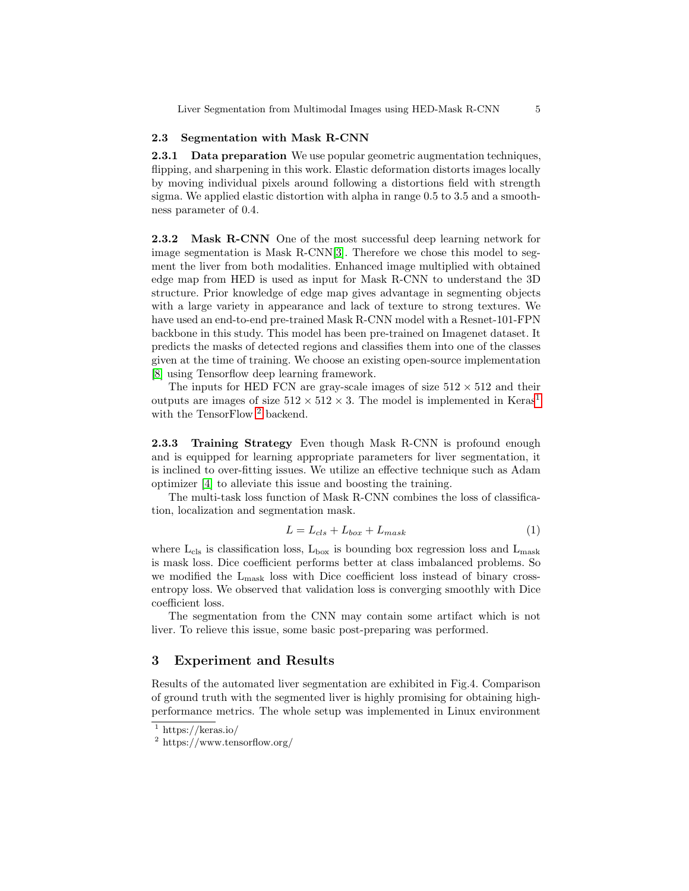Liver Segmentation from Multimodal Images using HED-Mask R-CNN 5

#### 2.3 Segmentation with Mask R-CNN

2.3.1 Data preparation We use popular geometric augmentation techniques, flipping, and sharpening in this work. Elastic deformation distorts images locally by moving individual pixels around following a distortions field with strength sigma. We applied elastic distortion with alpha in range 0.5 to 3.5 and a smoothness parameter of 0.4.

2.3.2 Mask R-CNN One of the most successful deep learning network for image segmentation is Mask R-CNN[\[3\]](#page-7-4). Therefore we chose this model to segment the liver from both modalities. Enhanced image multiplied with obtained edge map from HED is used as input for Mask R-CNN to understand the 3D structure. Prior knowledge of edge map gives advantage in segmenting objects with a large variety in appearance and lack of texture to strong textures. We have used an end-to-end pre-trained Mask R-CNN model with a Resnet-101-FPN backbone in this study. This model has been pre-trained on Imagenet dataset. It predicts the masks of detected regions and classifies them into one of the classes given at the time of training. We choose an existing open-source implementation [\[8\]](#page-7-10) using Tensorflow deep learning framework.

The inputs for HED FCN are gray-scale images of size  $512 \times 512$  and their outputs are images of size  $512 \times 512 \times 3$  $512 \times 512 \times 3$  $512 \times 512 \times 3$ . The model is implemented in Keras<sup>1</sup> with the TensorFlow<sup>[2](#page-4-1)</sup> backend.

2.3.3 Training Strategy Even though Mask R-CNN is profound enough and is equipped for learning appropriate parameters for liver segmentation, it is inclined to over-fitting issues. We utilize an effective technique such as Adam optimizer [\[4\]](#page-7-11) to alleviate this issue and boosting the training.

The multi-task loss function of Mask R-CNN combines the loss of classification, localization and segmentation mask.

$$
L = L_{cls} + L_{box} + L_{mask} \tag{1}
$$

where  $L_{cls}$  is classification loss,  $L_{box}$  is bounding box regression loss and  $L_{mask}$ is mask loss. Dice coefficient performs better at class imbalanced problems. So we modified the Lmask loss with Dice coefficient loss instead of binary crossentropy loss. We observed that validation loss is converging smoothly with Dice coefficient loss.

The segmentation from the CNN may contain some artifact which is not liver. To relieve this issue, some basic post-preparing was performed.

## 3 Experiment and Results

Results of the automated liver segmentation are exhibited in Fig.4. Comparison of ground truth with the segmented liver is highly promising for obtaining highperformance metrics. The whole setup was implemented in Linux environment

<span id="page-4-0"></span> $1 \text{ https://keras.io/}$ 

<span id="page-4-1"></span> $^2$  https://www.tensorflow.org/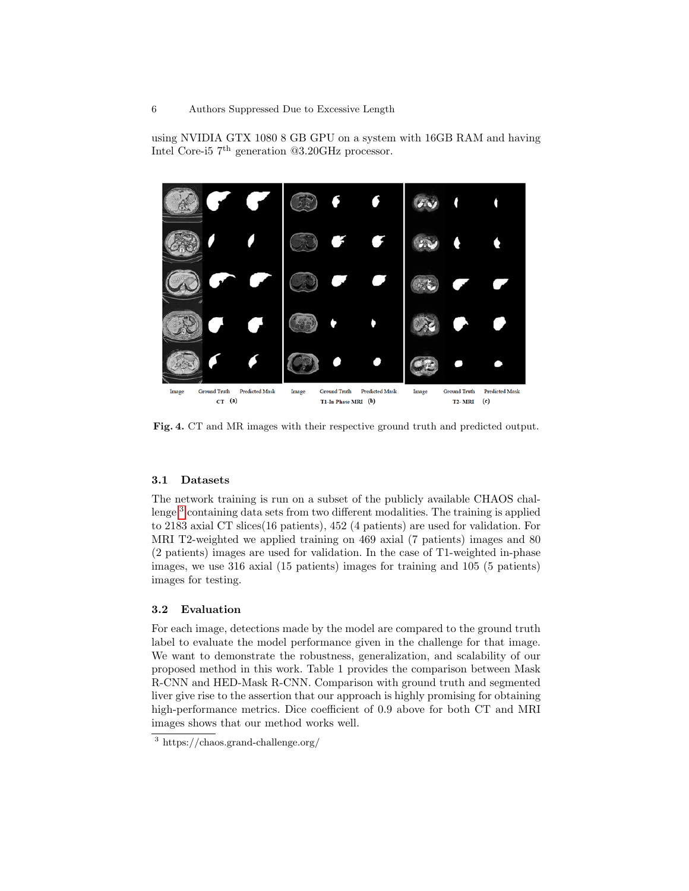using NVIDIA GTX 1080 8 GB GPU on a system with 16GB RAM and having Intel Core-i5  $7<sup>th</sup>$  generation @3.20GHz processor.



Fig. 4. CT and MR images with their respective ground truth and predicted output.

#### 3.1 Datasets

The network training is run on a subset of the publicly available CHAOS chal-lenge<sup>[3](#page-5-0)</sup> containing data sets from two different modalities. The training is applied to 2183 axial CT slices(16 patients), 452 (4 patients) are used for validation. For MRI T2-weighted we applied training on 469 axial (7 patients) images and 80 (2 patients) images are used for validation. In the case of T1-weighted in-phase images, we use 316 axial (15 patients) images for training and 105 (5 patients) images for testing.

### 3.2 Evaluation

For each image, detections made by the model are compared to the ground truth label to evaluate the model performance given in the challenge for that image. We want to demonstrate the robustness, generalization, and scalability of our proposed method in this work. Table 1 provides the comparison between Mask R-CNN and HED-Mask R-CNN. Comparison with ground truth and segmented liver give rise to the assertion that our approach is highly promising for obtaining high-performance metrics. Dice coefficient of 0.9 above for both CT and MRI images shows that our method works well.

<span id="page-5-0"></span><sup>3</sup> https://chaos.grand-challenge.org/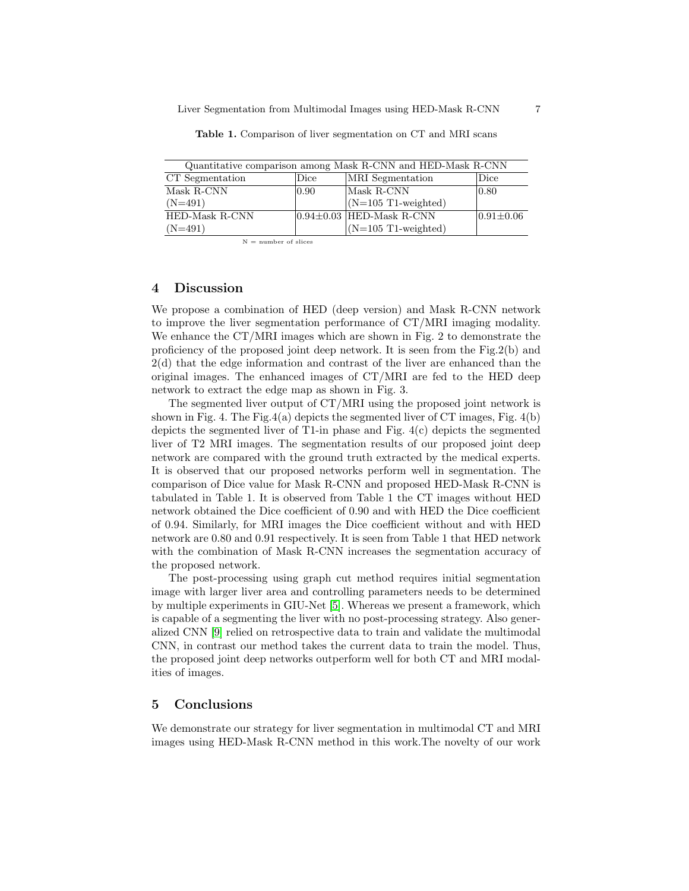| Quantitative comparison among Mask R-CNN and HED-Mask R-CNN |      |                                |                 |
|-------------------------------------------------------------|------|--------------------------------|-----------------|
| CT Segmentation                                             | Dice | MRI Segmentation               | Dice            |
| Mask R-CNN                                                  | 0.90 | Mask R-CNN                     | 0.80            |
| $(N=491)$                                                   |      | $(N=105$ T1-weighted)          |                 |
| HED-Mask R-CNN                                              |      | $ 0.94\pm0.03 $ HED-Mask R-CNN | $0.91 \pm 0.06$ |
| $(N=491)$                                                   |      | $(N=105$ T1-weighted)          |                 |

Table 1. Comparison of liver segmentation on CT and MRI scans

 $N =$  number of slices

## 4 Discussion

We propose a combination of HED (deep version) and Mask R-CNN network to improve the liver segmentation performance of CT/MRI imaging modality. We enhance the  $CT/MRI$  images which are shown in Fig. 2 to demonstrate the proficiency of the proposed joint deep network. It is seen from the Fig.2(b) and 2(d) that the edge information and contrast of the liver are enhanced than the original images. The enhanced images of CT/MRI are fed to the HED deep network to extract the edge map as shown in Fig. 3.

The segmented liver output of CT/MRI using the proposed joint network is shown in Fig. 4. The Fig.4(a) depicts the segmented liver of CT images, Fig.  $4(b)$ depicts the segmented liver of T1-in phase and Fig. 4(c) depicts the segmented liver of T2 MRI images. The segmentation results of our proposed joint deep network are compared with the ground truth extracted by the medical experts. It is observed that our proposed networks perform well in segmentation. The comparison of Dice value for Mask R-CNN and proposed HED-Mask R-CNN is tabulated in Table 1. It is observed from Table 1 the CT images without HED network obtained the Dice coefficient of 0.90 and with HED the Dice coefficient of 0.94. Similarly, for MRI images the Dice coefficient without and with HED network are 0.80 and 0.91 respectively. It is seen from Table 1 that HED network with the combination of Mask R-CNN increases the segmentation accuracy of the proposed network.

The post-processing using graph cut method requires initial segmentation image with larger liver area and controlling parameters needs to be determined by multiple experiments in GIU-Net [\[5\]](#page-7-2). Whereas we present a framework, which is capable of a segmenting the liver with no post-processing strategy. Also generalized CNN [\[9\]](#page-7-0) relied on retrospective data to train and validate the multimodal CNN, in contrast our method takes the current data to train the model. Thus, the proposed joint deep networks outperform well for both CT and MRI modalities of images.

## 5 Conclusions

We demonstrate our strategy for liver segmentation in multimodal CT and MRI images using HED-Mask R-CNN method in this work.The novelty of our work